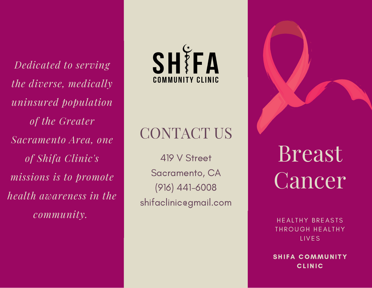*Dedicated to serving the diverse, medically uninsured population of the Greater Sacramento Area, one of Shifa Clinic's missions is to promote health awareness in the community.*



# CONTACT US

419 V Street Sacramento, CA (916) 441-6008 shifaclinic@gmail.com

Breast Cancer

HEALTHY BREASTS THROUGH HEALTHY **LIVES** 

**SHIFA COMMUNITY CLINIC**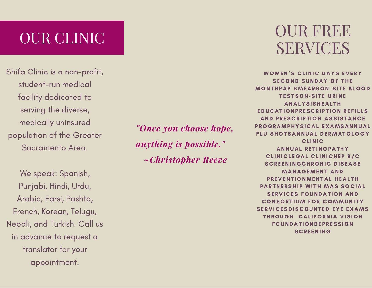## OUR CLINIC

Shifa Clinic is a non-profit, student-run medical facility dedicated to serving the diverse, medically uninsured population of the Greater Sacramento Area.

We speak: Spanish, Punjabi, Hindi, Urdu, Arabic, Farsi, Pashto, French, Korean, Telugu, Nepali, and Turkish. Call us in advance to request a translator for your appointment.

*"Once you choose hope, anything is possible." ~Christopher Reeve*

### OUR FREE SERVICES

WOMEN'S CLINIC DAYS EVERY SECOND SUNDAY OF THE **MONTHPAP SMEARSON-SITE BLOOD TESTSON-SITE URINE ANALYSISHEALTH** EDUCATIONPRESCRIPTION REFILLS AND PRESCRIPTION ASSISTANCE PROGRAMPHYSICAL EXAMSANNUAL FLU SHOTSANNUAL DERMATOLOGY **CLINIC** ANNUAL RETINOPATHY CLINICLEGAL CLINICHEP B/C **SCREENINGCHRONIC DISEASE** MANAGEMENT AND PREVENTIONMENTAL HEALTH PARTNERSHIP WITH MAS SOCIAL SERVICES FOUNDATION AND **CONSORTIUM FOR COMMUNITY** SERVICE SDISCOUNTED EYE EXAMS THROUGH CALIFORNIA VISION **FOUNDATIONDEPRESSION SCREENING**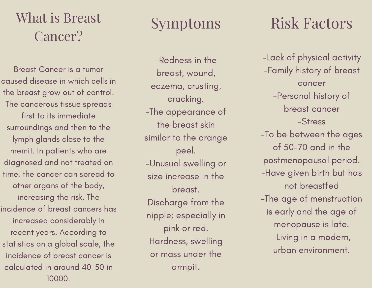### What is Breast Cancer?

Breast Cancer is a tumor caused disease in which cells in the breast grow out of control. The cancerous tissue spreads first to its immediate surroundings and then to the lymph glands close to the memit. In patients who are diagnosed and not treated on time, the cancer can spread to other organs of the body, increasing the risk. The incidence of breast cancers has increased considerably in recent years. According to statistics on a global scale, the incidence of breast cancer is calculated in around 40-50 in 10000.

### Symptoms

-Redness in the breast, wound, eczema, crusting, cracking. -The appearance of the breast skin similar to the orange peel. -Unusual swelling or size increase in the breast. Discharge from the nipple; especially in pink or red. Hardness, swelling or mass under the armpit.

## Risk Factors

-Lack of physical activity -Family history of breast cancer -Personal history of breast cancer -Stress -To be between the ages of 50-70 and in the postmenopausal period. -Have given birth but has not breastfed -The age of menstruation is early and the age of menopause is late. -Living in a modern, urban environment.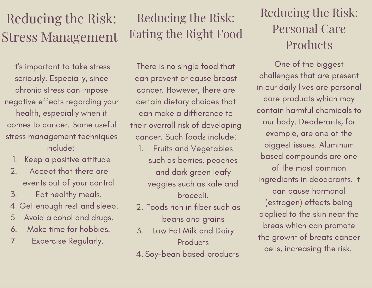## Reducing the Risk: Stress Management

It' s important to take stress seriously. Especially, since chronic stress can impose negative effects regarding your health, especially when it comes to cancer. Some useful stress management techniques include:

- Keep a positive attitude 1.
- Accept that there are events out of your control 2.
- Eat healthy meals. 3.
- 4. Get enough rest and sleep.
- Avoid alcohol and drugs. 5.
- Make time for hobbies. 6.
- Excercise Regularly. 7.

#### Reducing the Risk: Eating the Right Food

There is no single food that can prevent or cause breast cancer. However, there are certain dietary choices that can make a diffierence to their overrall risk of developing cancer. Such foods include:

- Fruits and Vegetables such as berries, peaches and dark green leafy veggies such as kale and broccoli. 1.
- Foods rich in fiber such as 2. beans and grains
- Low Fat Milk and Dairy **Products** 3.
- 4. Soy-bean based products

#### Reducing the Risk: Personal Care **Products**

One of the biggest challenges that are present in our daily lives are personal care products which may contain harmful chemicals to our body. Deoderants, for example, are one of the biggest issues. Aluminum based compounds are one of the most common ingredients in deodorants. It can cause hormonal (estrogen) effects being applied to the skin near the breas which can promote the growht of breats cancer cells, increasing the risk.